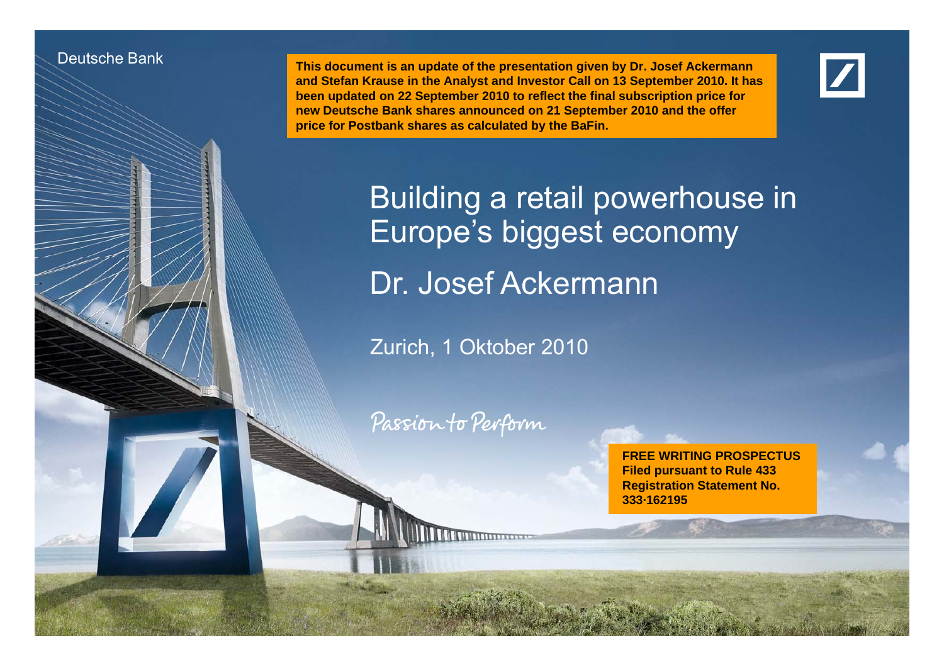#### Deutsche Bank

Deutsche Bank und deutsche Investor Relations

 **This document is an update of the presentation given by Dr. Josef Ackermann and Stefan Krause in the Analyst and Investor Call on 13 September 2010. It has been updated on 22 September 2010 to reflect the final subscription price for**  new Deutsche Bank shares announced on 21 September 2010 and the offer **price for Postbank shares as calculated by the BaFin.**



Building a retail powerhouse in Europe's biggest economy Dr. Josef Ackermann

Zurich, 1 Oktober 2010

Passion to Perform

Dr. Josef Ackermann1 October 2010 2010

**FREE WRITING PROSPECTUSFiled pursuant to Rule 433 Registration Statement No. 333·162195**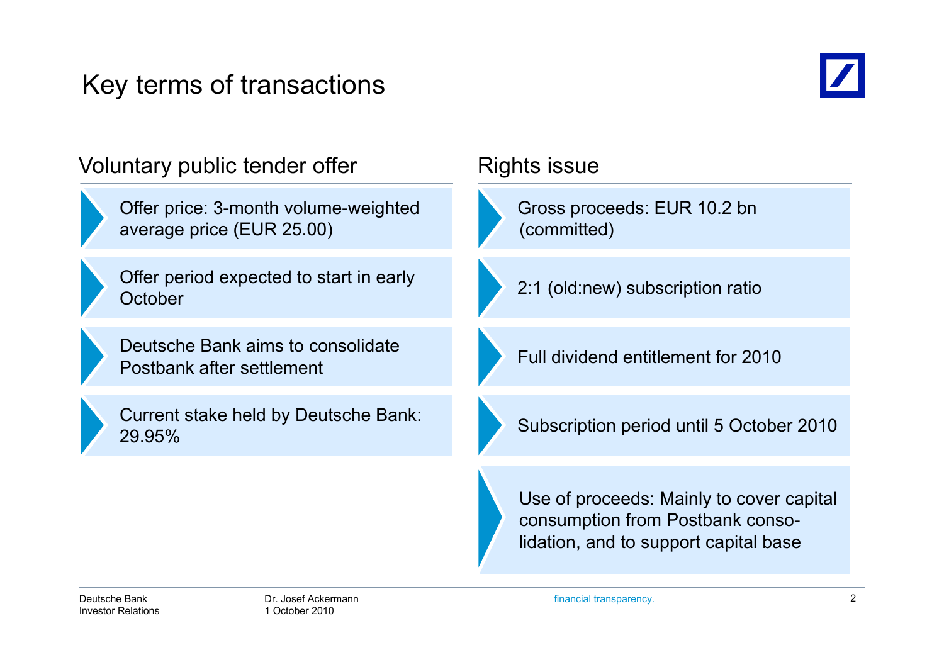# Key terms of transactions



| Voluntary public tender offer                                     | Rights issue                                                                                                          |  |
|-------------------------------------------------------------------|-----------------------------------------------------------------------------------------------------------------------|--|
| Offer price: 3-month volume-weighted<br>average price (EUR 25.00) | Gross proceeds: EUR 10.2 bn<br>(committed)                                                                            |  |
| Offer period expected to start in early<br>October                | 2:1 (old:new) subscription ratio                                                                                      |  |
| Deutsche Bank aims to consolidate<br>Postbank after settlement    | Full dividend entitlement for 2010                                                                                    |  |
| Current stake held by Deutsche Bank:<br>29.95%                    | Subscription period until 5 October 2010                                                                              |  |
|                                                                   | Use of proceeds: Mainly to cover capital<br>consumption from Postbank conso-<br>lidation, and to support capital base |  |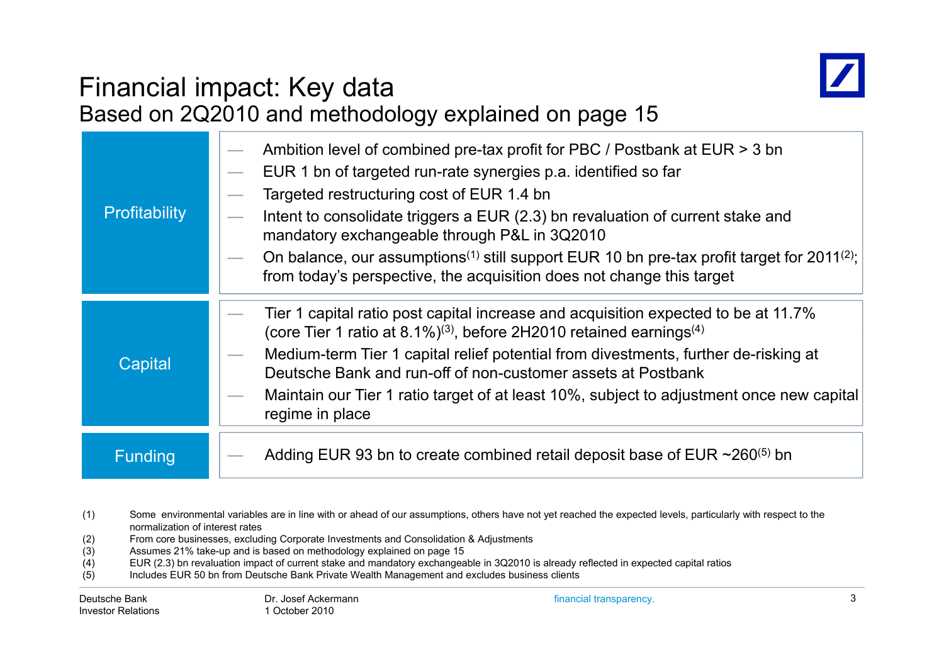

# Financial impact: Key data

|                | Based on 2Q2010 and methodology explained on page 15                                                                                                                                                                                                                                                                                                                                                                                                                                                                       |
|----------------|----------------------------------------------------------------------------------------------------------------------------------------------------------------------------------------------------------------------------------------------------------------------------------------------------------------------------------------------------------------------------------------------------------------------------------------------------------------------------------------------------------------------------|
| Profitability  | Ambition level of combined pre-tax profit for PBC / Postbank at EUR > 3 bn<br>EUR 1 bn of targeted run-rate synergies p.a. identified so far<br>Targeted restructuring cost of EUR 1.4 bn<br>Intent to consolidate triggers a EUR (2.3) bn revaluation of current stake and<br>mandatory exchangeable through P&L in 3Q2010<br>On balance, our assumptions <sup>(1)</sup> still support EUR 10 bn pre-tax profit target for 2011 <sup>(2)</sup> ;<br>from today's perspective, the acquisition does not change this target |
| Capital        | Tier 1 capital ratio post capital increase and acquisition expected to be at 11.7%<br>(core Tier 1 ratio at 8.1%) <sup>(3)</sup> , before 2H2010 retained earnings <sup>(4)</sup><br>Medium-term Tier 1 capital relief potential from divestments, further de-risking at<br>Deutsche Bank and run-off of non-customer assets at Postbank<br>Maintain our Tier 1 ratio target of at least 10%, subject to adjustment once new capital<br>regime in place                                                                    |
| <b>Funding</b> | Adding EUR 93 bn to create combined retail deposit base of EUR $\sim$ 260 <sup>(5)</sup> bn                                                                                                                                                                                                                                                                                                                                                                                                                                |

- (1) Some environmental variables are in line with or ahead of our assumptions, others have not yet reached the expected levels, particularly with respect to the normalization of interest rates
- (2) From core businesses, excluding Corporate Investments and Consolidation & Adjustments
- Assumes 21% take-up and is based on methodology explained on page 15
- (4) EUR (2.3) bn revaluation impact of current stake and mandatory exchangeable in 3Q2010 is already reflected in expected capital ratios
- (5) Includes EUR 50 bn from Deutsche Bank Private Wealth Management and excludes business clients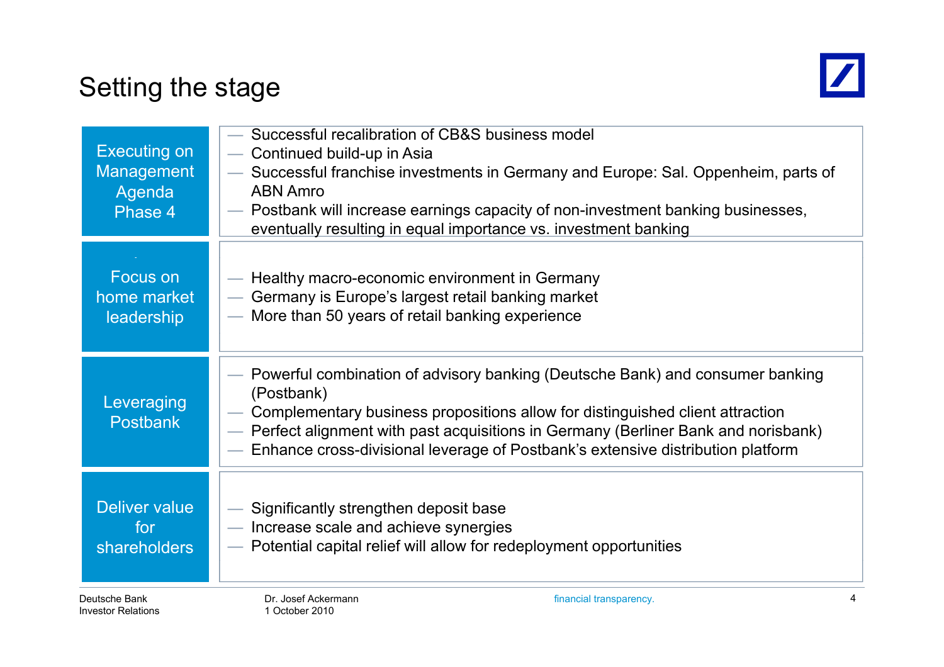# Setting the stage



| <b>Executing on</b><br><b>Management</b><br>Agenda<br>Phase 4 | Successful recalibration of CB&S business model<br>- Continued build-up in Asia<br>Successful franchise investments in Germany and Europe: Sal. Oppenheim, parts of<br><b>ABN Amro</b><br>— Postbank will increase earnings capacity of non-investment banking businesses,<br>eventually resulting in equal importance vs. investment banking          |
|---------------------------------------------------------------|--------------------------------------------------------------------------------------------------------------------------------------------------------------------------------------------------------------------------------------------------------------------------------------------------------------------------------------------------------|
| Focus on                                                      | — Healthy macro-economic environment in Germany                                                                                                                                                                                                                                                                                                        |
| home market                                                   | Germany is Europe's largest retail banking market                                                                                                                                                                                                                                                                                                      |
| <b>leadership</b>                                             | - More than 50 years of retail banking experience                                                                                                                                                                                                                                                                                                      |
| Leveraging<br><b>Postbank</b>                                 | Powerful combination of advisory banking (Deutsche Bank) and consumer banking<br>(Postbank)<br>Complementary business propositions allow for distinguished client attraction<br>- Perfect alignment with past acquisitions in Germany (Berliner Bank and norisbank)<br>Enhance cross-divisional leverage of Postbank's extensive distribution platform |
| Deliver value                                                 | Significantly strengthen deposit base                                                                                                                                                                                                                                                                                                                  |
| for                                                           | - Increase scale and achieve synergies                                                                                                                                                                                                                                                                                                                 |
| <b>shareholders</b>                                           | - Potential capital relief will allow for redeployment opportunities                                                                                                                                                                                                                                                                                   |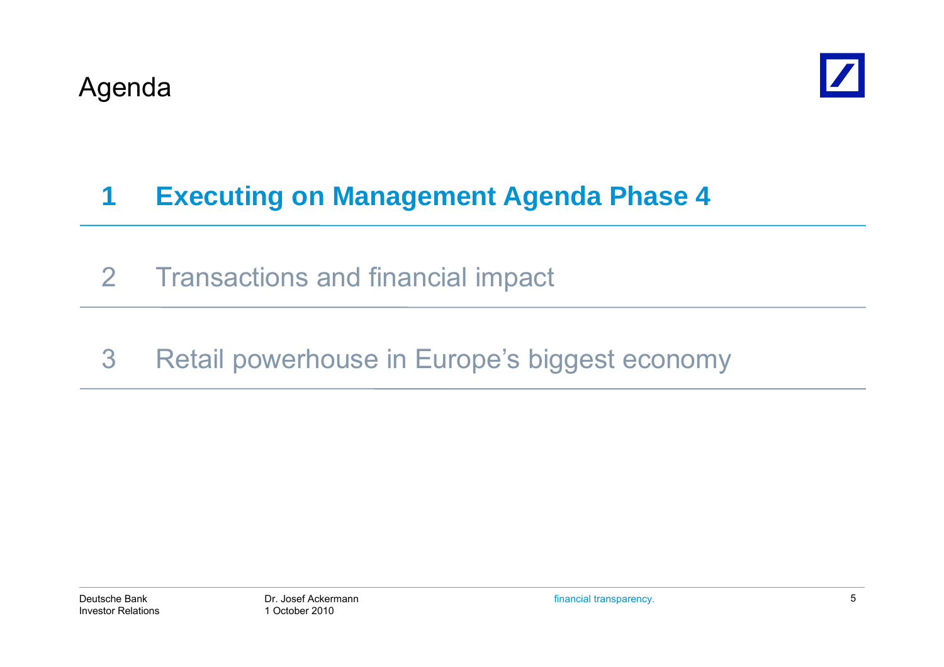

# **1 Executing on Management Agenda Phase 4**

- 2 Transactions and financial impact
- 3 Retail powerhouse in Europe's biggest economy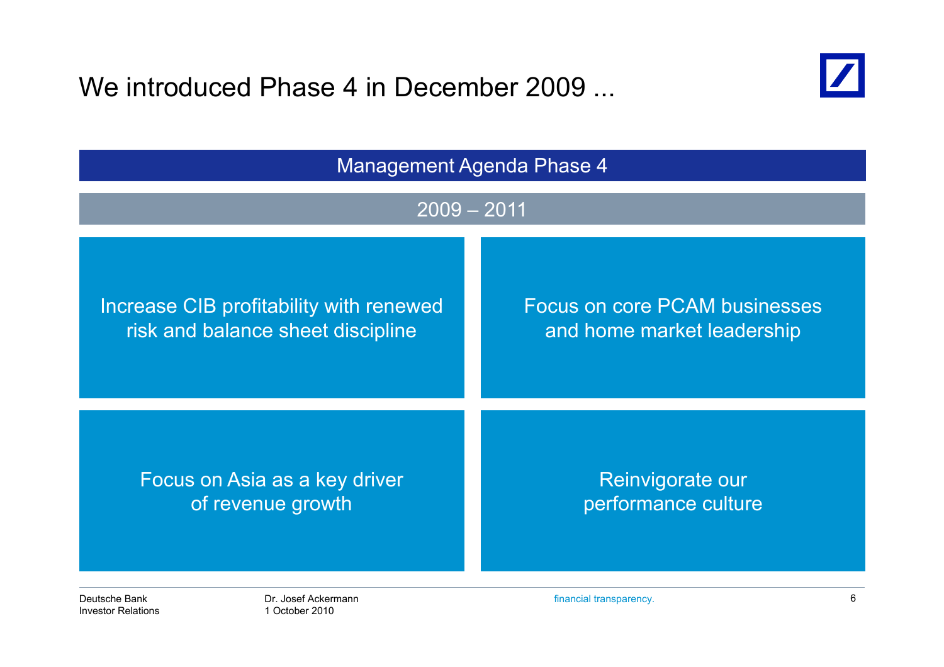We introduced Phase 4 in December 2009 ...



| <b>Management Agenda Phase 4</b>        |                                      |  |  |  |
|-----------------------------------------|--------------------------------------|--|--|--|
| $2009 - 2011$                           |                                      |  |  |  |
| Increase CIB profitability with renewed | <b>Focus on core PCAM businesses</b> |  |  |  |
| risk and balance sheet discipline       | and home market leadership           |  |  |  |
| Focus on Asia as a key driver           | Reinvigorate our                     |  |  |  |
| of revenue growth                       | performance culture                  |  |  |  |
| Deutsche Bank                           | 6                                    |  |  |  |
| Dr. Josef Ackermann                     | financial transparency.              |  |  |  |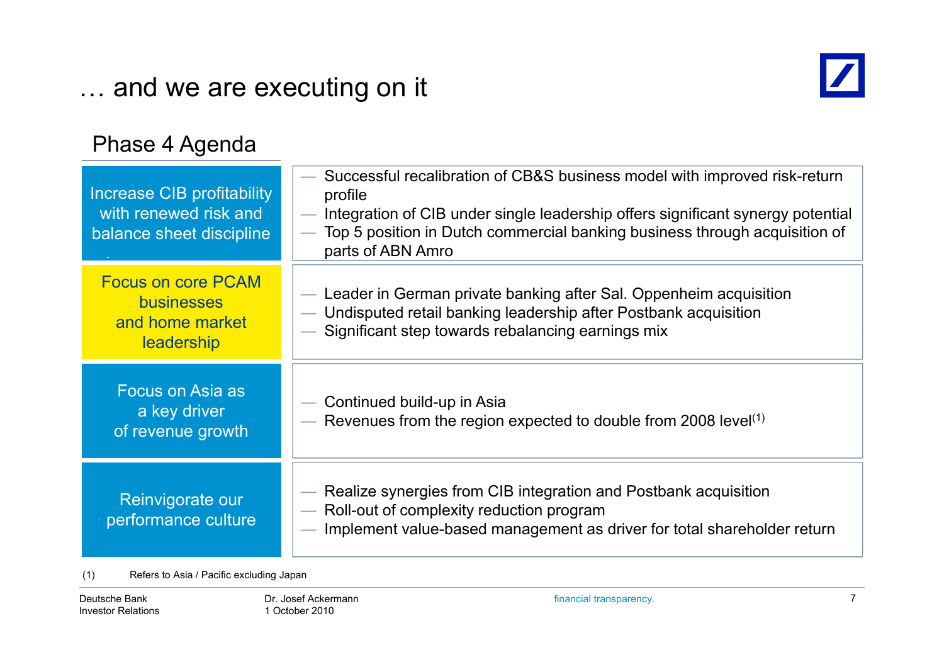### … and we are executing on it



#### Phase 4 Agenda

| Increase CIB profitability<br>with renewed risk and<br>balance sheet discipline | - Successful recalibration of CB&S business model with improved risk-return<br>profile<br>— Integration of CIB under single leadership offers significant synergy potential<br>Top 5 position in Dutch commercial banking business through acquisition of<br>$\overline{\phantom{0}}$<br>parts of ABN Amro |
|---------------------------------------------------------------------------------|------------------------------------------------------------------------------------------------------------------------------------------------------------------------------------------------------------------------------------------------------------------------------------------------------------|
| <b>Focus on core PCAM</b><br><b>businesses</b><br>and home market<br>leadership | — Leader in German private banking after Sal. Oppenheim acquisition<br>— Undisputed retail banking leadership after Postbank acquisition<br>- Significant step towards rebalancing earnings mix                                                                                                            |
| Focus on Asia as<br>a key driver<br>of revenue growth                           | - Continued build-up in Asia<br>— Revenues from the region expected to double from 2008 level $(1)$                                                                                                                                                                                                        |
| Reinvigorate our<br>performance culture                                         | - Realize synergies from CIB integration and Postbank acquisition<br>- Roll-out of complexity reduction program<br>- Implement value-based management as driver for total shareholder return                                                                                                               |

(1) Refers to Asia / Pacific excluding Japan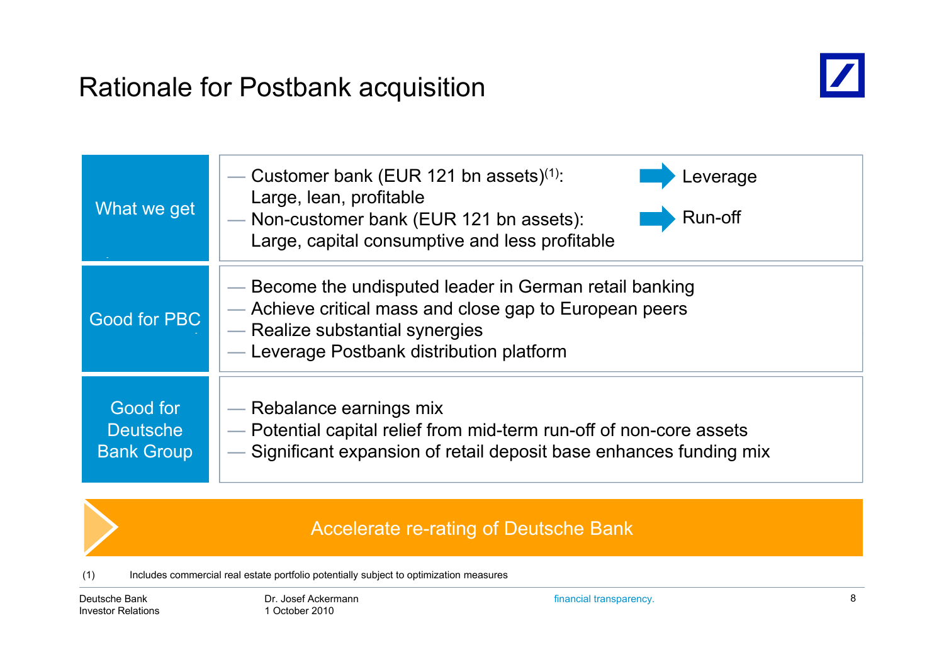### Rationale for Postbank acquisition



| What we get                                      | Customer bank (EUR 121 bn assets) <sup>(1)</sup> :<br>_everage<br>Large, lean, profitable<br>Run-off<br>- Non-customer bank (EUR 121 bn assets):<br>Large, capital consumptive and less profitable |
|--------------------------------------------------|----------------------------------------------------------------------------------------------------------------------------------------------------------------------------------------------------|
| Good for PBC                                     | — Become the undisputed leader in German retail banking<br>- Achieve critical mass and close gap to European peers<br>- Realize substantial synergies<br>- Leverage Postbank distribution platform |
| Good for<br><b>Deutsche</b><br><b>Bank Group</b> | — Rebalance earnings mix<br>- Potential capital relief from mid-term run-off of non-core assets<br>Significant expansion of retail deposit base enhances funding mix                               |

#### Accelerate re-rating of Deutsche Bank

(1) Includes commercial real estate portfolio potentially subject to optimization measures

Deutsche BankInvestor Relations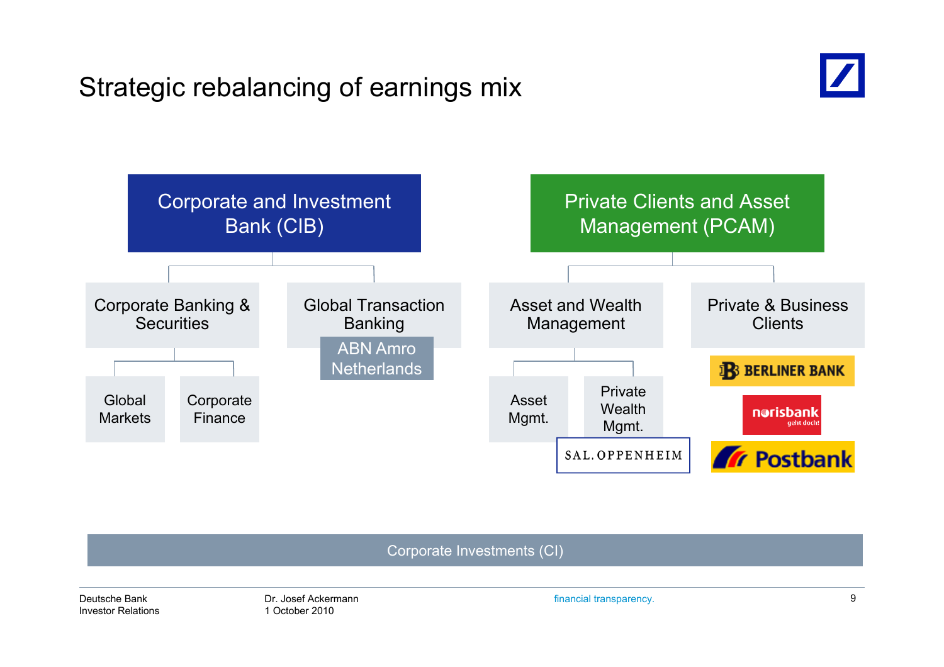# Strategic rebalancing of earnings mix





Corporate Investments (CI)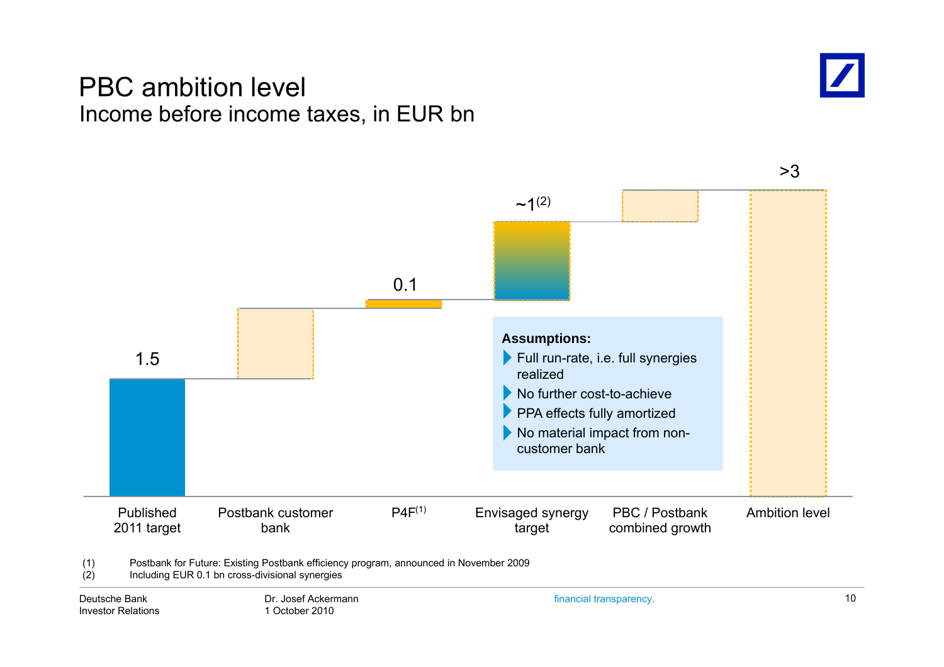#### PBC ambition level Income before income taxes, in EUR bn



>3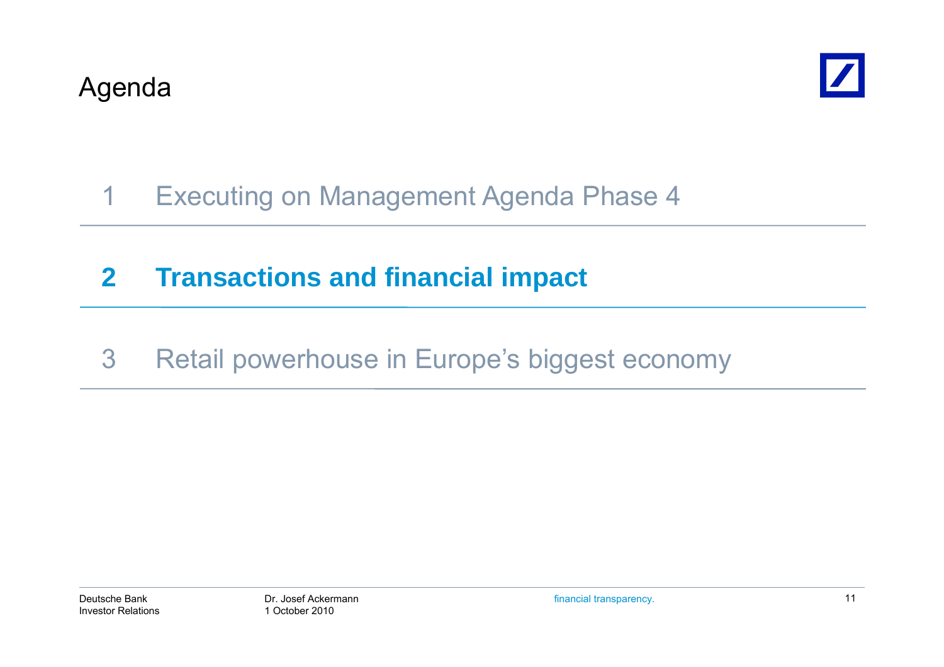

# 1 Executing on Management Agenda Phase 4

# **2 Transactions and financial impact**

3 Retail powerhouse in Europe's biggest economy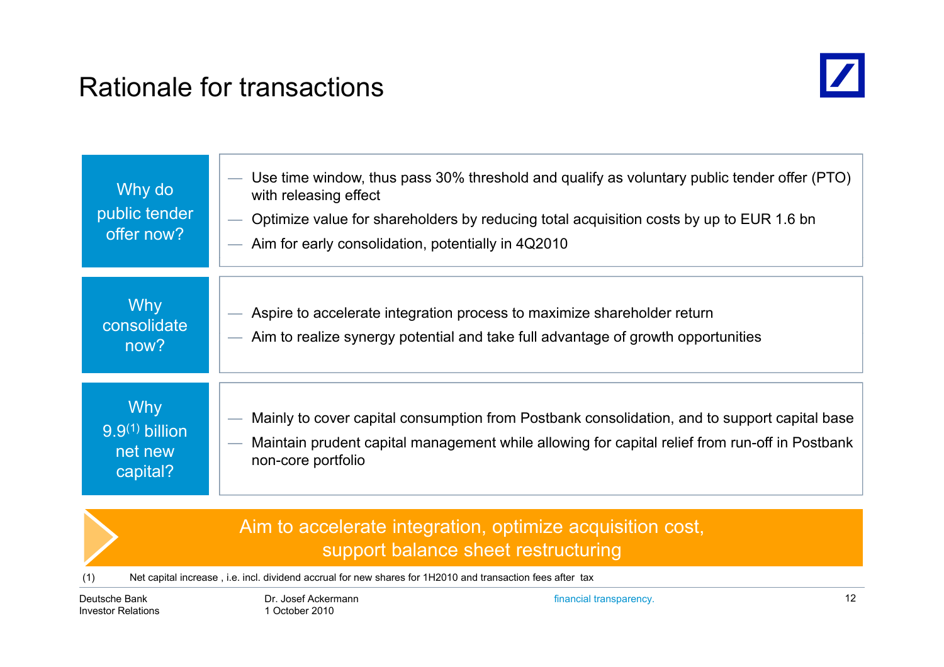### Rationale for transactions



| Why do<br>public tender<br>offer now?                 | Use time window, thus pass 30% threshold and qualify as voluntary public tender offer (PTO)<br>with releasing effect<br>Optimize value for shareholders by reducing total acquisition costs by up to EUR 1.6 bn<br>Aim for early consolidation, potentially in 4Q2010 |
|-------------------------------------------------------|-----------------------------------------------------------------------------------------------------------------------------------------------------------------------------------------------------------------------------------------------------------------------|
| <b>Why</b><br>consolidate<br>now?                     | Aspire to accelerate integration process to maximize shareholder return<br>- Aim to realize synergy potential and take full advantage of growth opportunities                                                                                                         |
| <b>Why</b><br>$9.9(1)$ billion<br>net new<br>capital? | Mainly to cover capital consumption from Postbank consolidation, and to support capital base<br>Maintain prudent capital management while allowing for capital relief from run-off in Postbank<br>non-core portfolio                                                  |

#### Aim to accelerate integration, optimize acquisition cost, support balance sheet restructuring

(1) Net capital increase , i.e. incl. dividend accrual for new shares for 1H2010 and transaction fees after tax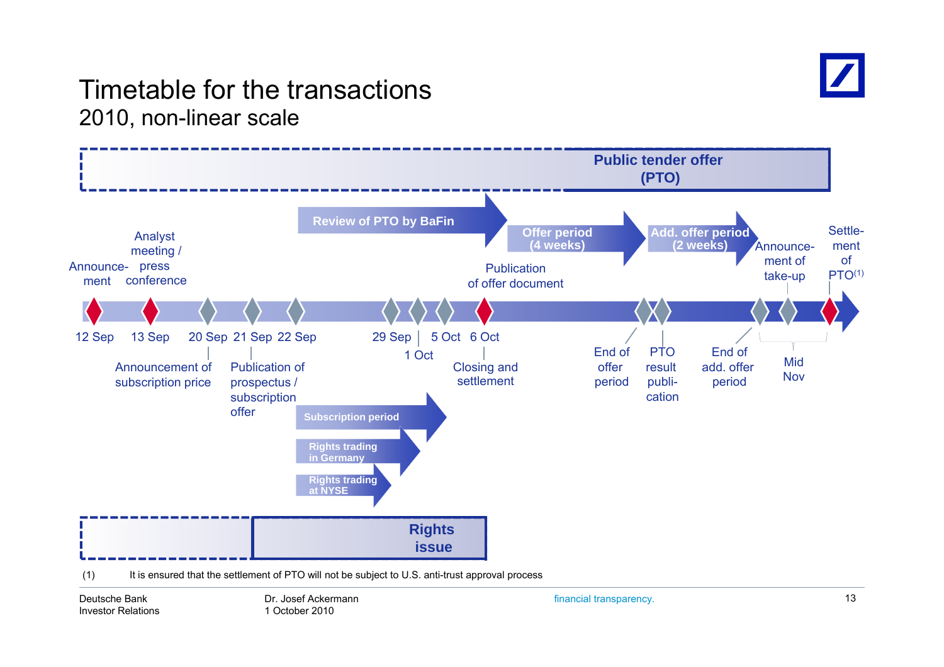

#### Timetable for the transactions2010, non-linear scale



Deutsche BankInvestor Relations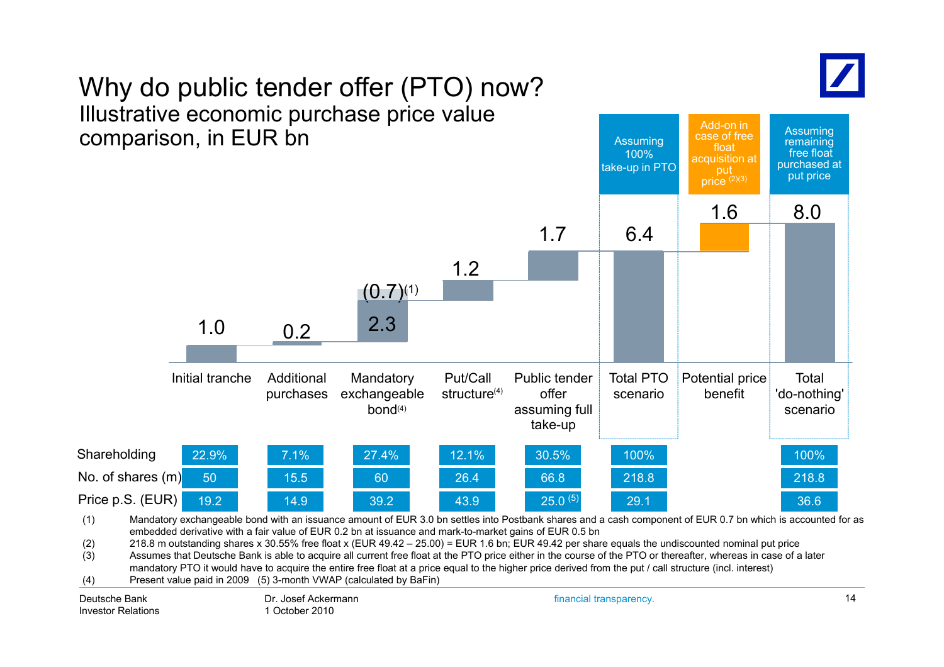

Assuming

Add-on in

# Why do public tender offer (PTO) now? Illustrative economic purchase price value



(3)  $\hspace{1cm}$  Assumes that Deutsche Bank is able to acquire all current free float at the PTO price either in the course of the PTO or thereafter, whereas in case of a later mandatory PTO it would have to acquire the entire free float at a price equal to the higher price derived from the put / call structure (incl. interest)

(4) Present value paid in 2009 (5) 3-month VWAP (calculated by BaFin)

Deutsche BankInvestor Relations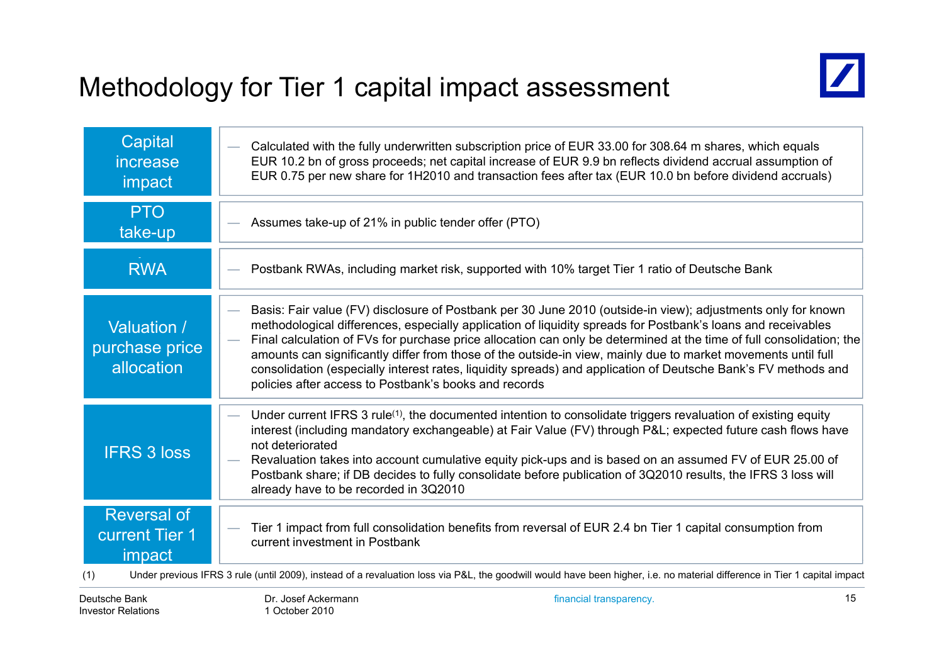# Methodology for Tier 1 capital impact assessment



| Capital<br>increase<br>impact                                | Calculated with the fully underwritten subscription price of EUR 33.00 for 308.64 m shares, which equals<br>EUR 10.2 bn of gross proceeds; net capital increase of EUR 9.9 bn reflects dividend accrual assumption of<br>EUR 0.75 per new share for 1H2010 and transaction fees after tax (EUR 10.0 bn before dividend accruals)                                                                                                                                                                                                                                                                                                                      |
|--------------------------------------------------------------|-------------------------------------------------------------------------------------------------------------------------------------------------------------------------------------------------------------------------------------------------------------------------------------------------------------------------------------------------------------------------------------------------------------------------------------------------------------------------------------------------------------------------------------------------------------------------------------------------------------------------------------------------------|
| <b>PTO</b><br>take-up                                        | Assumes take-up of 21% in public tender offer (PTO)                                                                                                                                                                                                                                                                                                                                                                                                                                                                                                                                                                                                   |
| <b>RWA</b>                                                   | Postbank RWAs, including market risk, supported with 10% target Tier 1 ratio of Deutsche Bank                                                                                                                                                                                                                                                                                                                                                                                                                                                                                                                                                         |
| Valuation /<br>purchase price<br>allocation                  | Basis: Fair value (FV) disclosure of Postbank per 30 June 2010 (outside-in view); adjustments only for known<br>methodological differences, especially application of liquidity spreads for Postbank's loans and receivables<br>Final calculation of FVs for purchase price allocation can only be determined at the time of full consolidation; the<br>-<br>amounts can significantly differ from those of the outside-in view, mainly due to market movements until full<br>consolidation (especially interest rates, liquidity spreads) and application of Deutsche Bank's FV methods and<br>policies after access to Postbank's books and records |
| <b>IFRS 3 loss</b>                                           | Under current IFRS 3 rule <sup>(1)</sup> , the documented intention to consolidate triggers revaluation of existing equity<br>interest (including mandatory exchangeable) at Fair Value (FV) through P&L expected future cash flows have<br>not deteriorated<br>Revaluation takes into account cumulative equity pick-ups and is based on an assumed FV of EUR 25.00 of<br>Postbank share; if DB decides to fully consolidate before publication of 3Q2010 results, the IFRS 3 loss will<br>already have to be recorded in 3Q2010                                                                                                                     |
| <b>Reversal of</b><br><b>current Tier 1</b><br>impact<br>(1) | Tier 1 impact from full consolidation benefits from reversal of EUR 2.4 bn Tier 1 capital consumption from<br>current investment in Postbank<br>Under previous IFRS 3 rule (until 2009), instead of a revaluation loss via P&L, the goodwill would have been higher, i.e. no material difference in Tier 1 capital impact                                                                                                                                                                                                                                                                                                                             |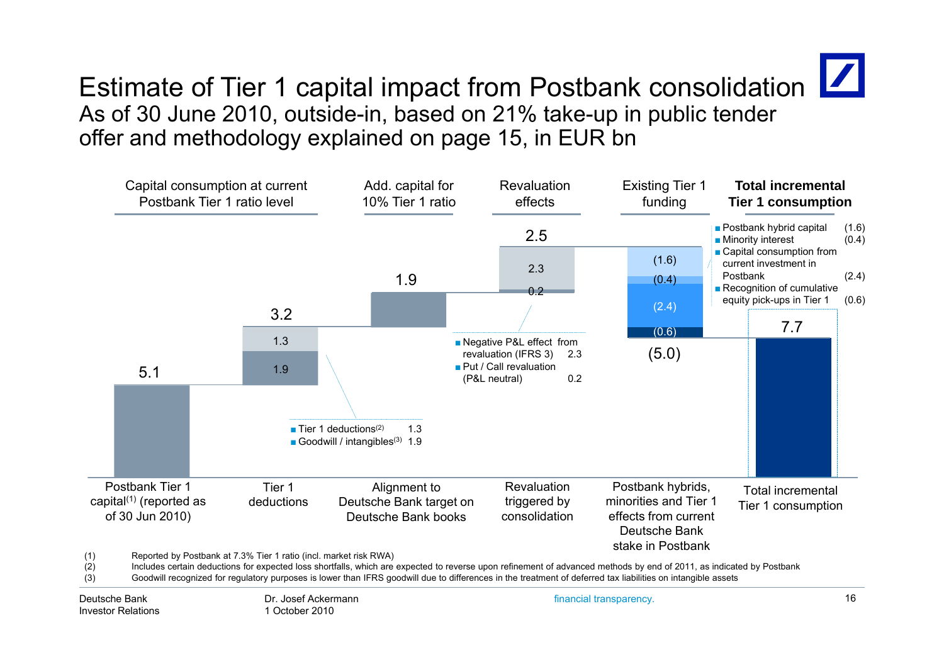

#### Estimate of Tier 1 capital impact from Postbank consolidation  $\boxed{\phantom{a}}$ As of 30 June 2010, outside-in, based on 21% take-up in public tender offer and methodology explained on page 15, in EUR bn



(3) Goodwill recognized for regulatory purposes is lower than IFRS goodwill due to differences in the treatment of deferred tax liabilities on intangible assets

Deutsche BankInvestor Relations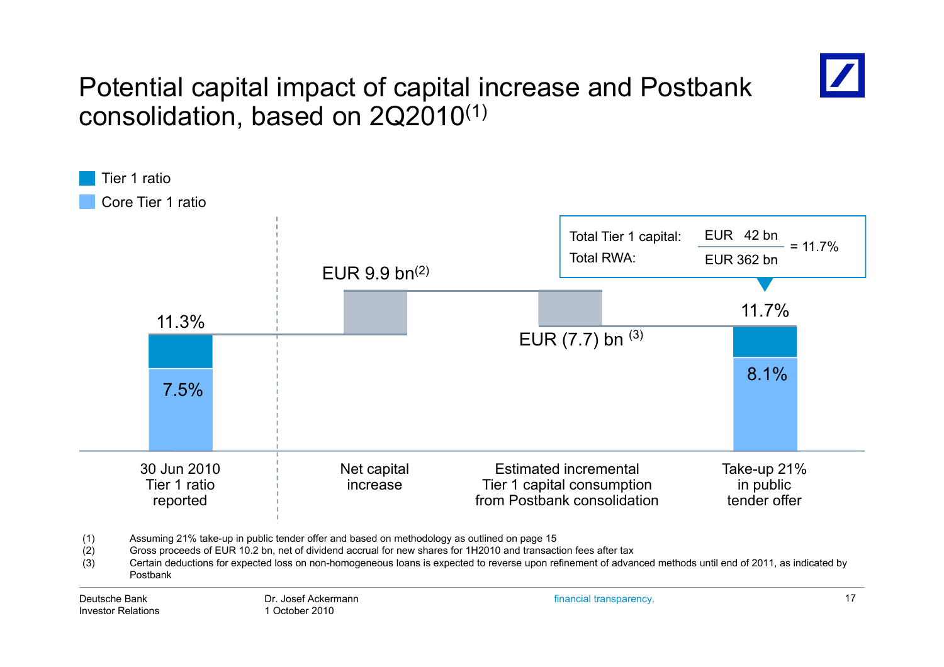

#### Potential capital impact of capital increase and Postbank consolidation, based on 2Q2010 $^{\left(1\right)}$



1 October 2010

Investor Relations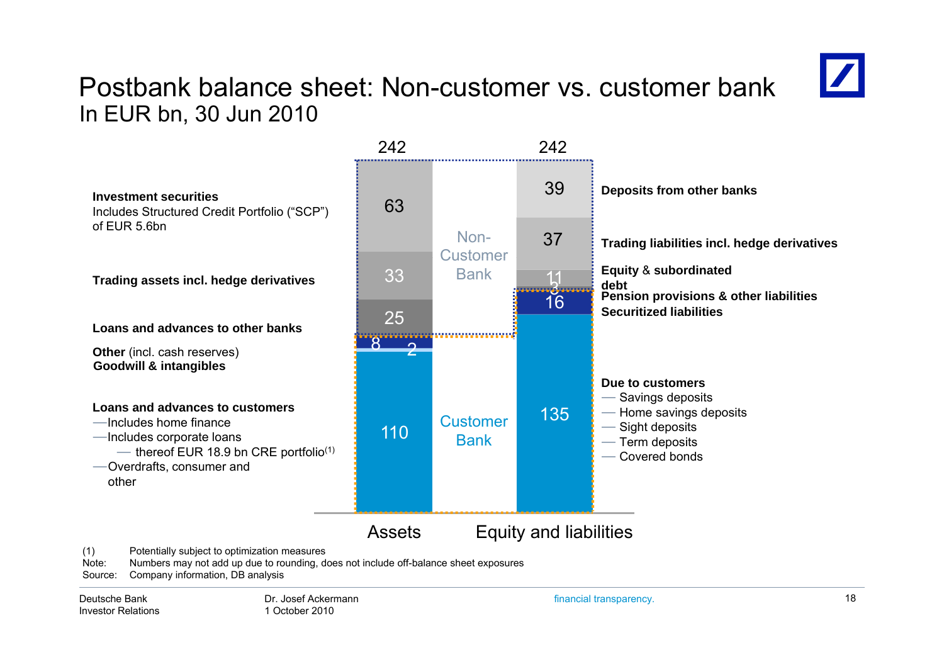#### Postbank balance sheet: Non-customer vs. customer bankIn EUR bn, 30 Jun 2010



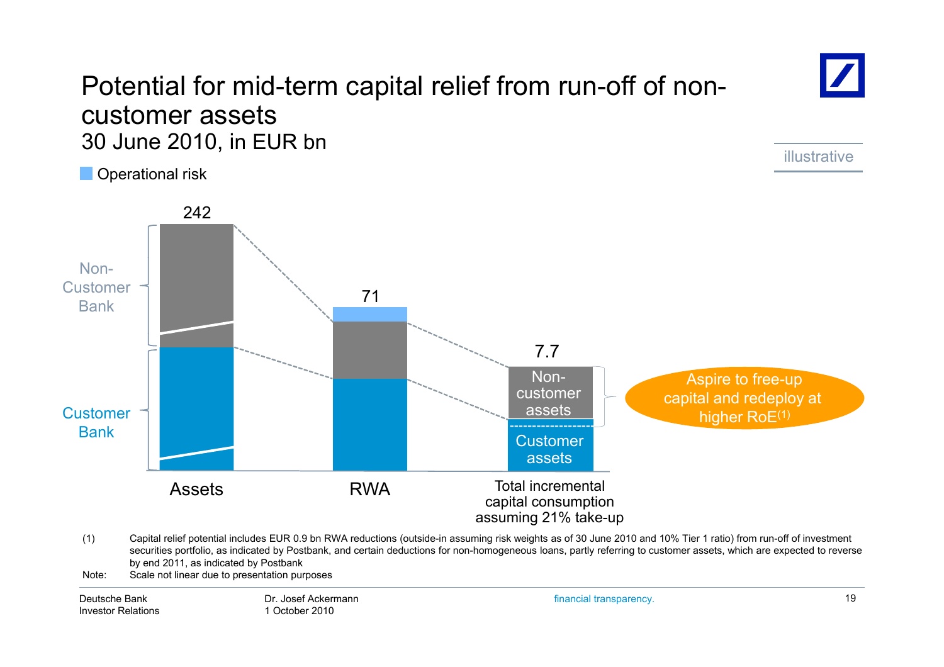#### Potential for mid-term capital relief from run-off of noncustomer assets 30 June 2010, in EUR bn

O perational risk



- (1) Capital relief potential includes EUR 0.9 bn RWA reductions (outside-in assuming risk weights as of 30 June 2010 and 10% Tier 1 ratio) from run-off of investment securities portfolio, as indicated by Postbank, and certain deductions for non-homogeneous loans, partly referring to customer assets, which are expected to reverse by end 2011, as indicated by Postbank
- Note: Scale not linear due to presentation purposes

Deutsche BankInvestor Relations financial transparency. 19

illustrative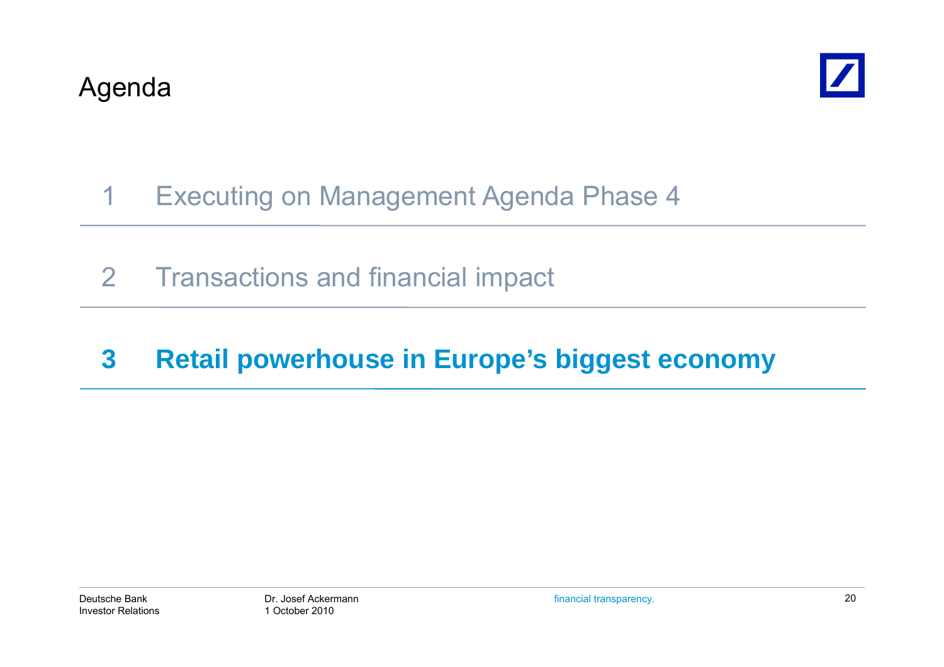

# 1 Executing on Management Agenda Phase 4

2 Transactions and financial impact

# **3 Retail powerhouse in Europe's biggest economy**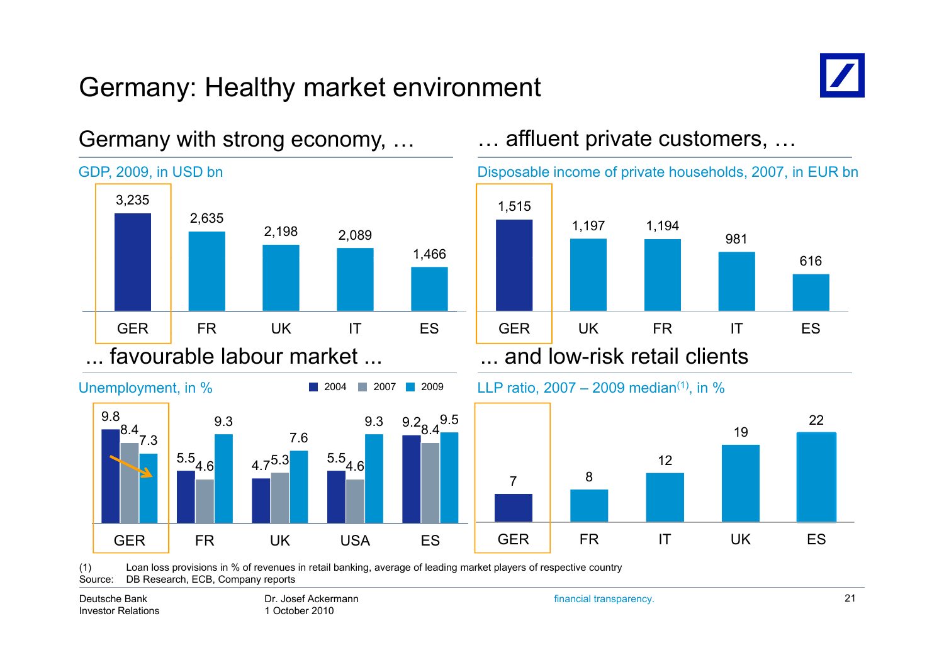# Germany: Healthy market environment



616

22

981

19



#### Germany with strong economy, …

(1) Loan loss provisions in % of revenues in retail banking, average of leading market players of respective country Source: DB Research, ECB, Company reports

Deutsche BankInvestor Relations Dr. Josef Ackermann1 October 2010

financial transparency. 21

12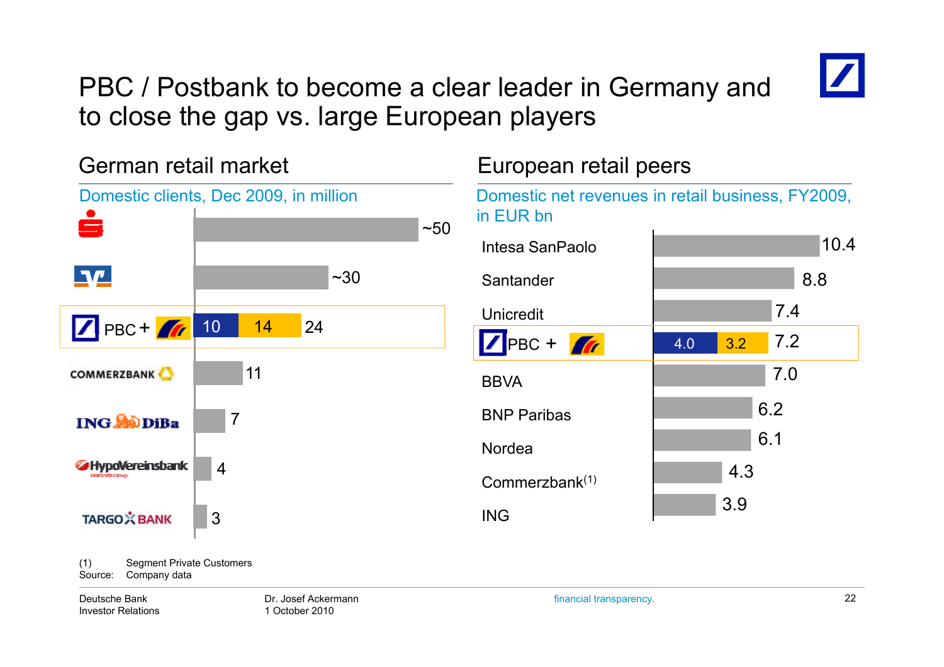

### PBC / Postbank to become a clear leader in Germany and to close the gap vs. large European players

German retail market European retail peers Domestic clients, Dec 2009, in million Domestic net revenues in retail business, FY2009, in EUR bnيصا  $~50$  10.4 Intesa SanPaolo $\P\Psi$  $~1.30$ Santanderr 18.8 7.4Unicredit10 14 24PBC + 7.2PBC + **1** 4.0 3.2 117.0**COMMERZBANK BBVA** 6 26.2NordeaBNP Paribas7**ING SODIBa** 6.1**SHypoVereinsbank** 4<br>Commerzbank<sup>(1)</sup> 4.33.9ING**TARGO**X BANK 3

(1) Segment Private Customers Source: Company data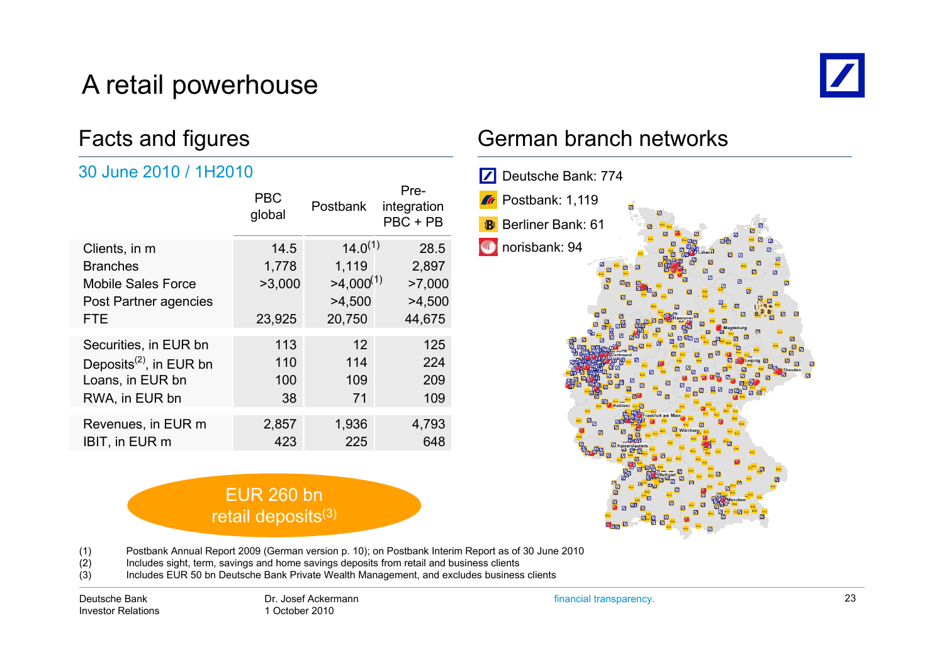# A retail powerhouse



#### Facts and figures

#### 30 June 2010 / 1H2010

| <b>PBC</b><br>global | <b>Postbank</b> | Pre-<br>integration<br>$PBC + PB$ |
|----------------------|-----------------|-----------------------------------|
| 14.5                 | $14.0^{(1)}$    | 28.5                              |
| 1,778                | 1,119           | 2,897                             |
| >3,000               | $>4,000^{(1)}$  | >7,000                            |
|                      | >4,500          | >4,500                            |
| 23,925               | 20,750          | 44,675                            |
| 113                  | 12              | 125                               |
| 110                  | 114             | 224                               |
| 100                  | 109             | 209                               |
| 38                   | 71              | 109                               |
|                      |                 | 4,793                             |
| 423                  | 225             | 648                               |
|                      | 2,857           | 1,936                             |

#### EUR 260 bn retail deposits<sup>(3)</sup>

#### German branch networks



(1) Postbank Annual Report 2009 (German version p. 10); on Postbank Interim Report as of 30 June 2010

- (2) Includes sight, term, savings and home savings deposits from retail and business clients
- (3) Includes EUR 50 bn Deutsche Bank Private Wealth Management, and excludes business clients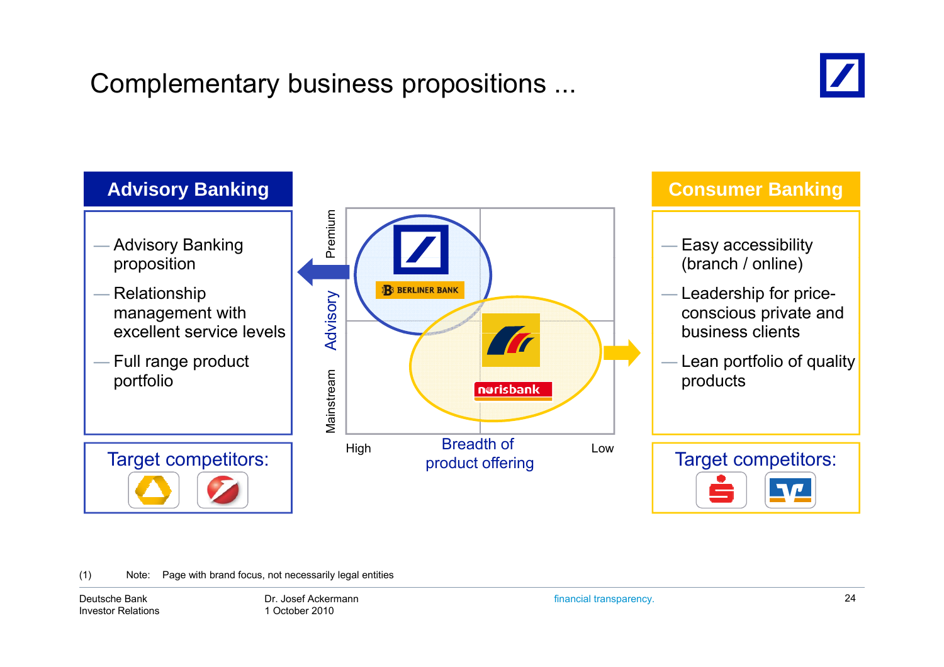# Complementary business propositions ...





(1) Note: Page with brand focus, not necessarily legal entities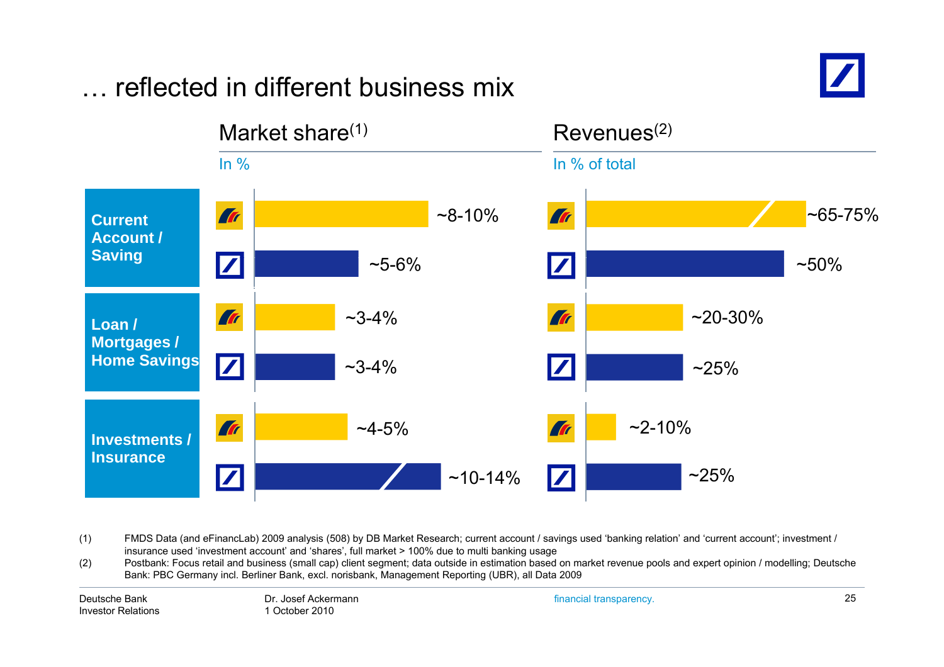#### Market share $(1)$  Revenues $(2)$ In % In % of total **Tr**  $~8 - 10%$ Tr  $~85 - 75%$ **Current Account /Saving**  $\boldsymbol{Z}$  $~50\%$  $\sim$ 5-6%  $\boldsymbol{Z}$ **Tr**  $~20 - 30%$ **Tr**  $~23 - 4\%$ **Loan / Mortgages / Home Savings** ~3-4% $~25\%$ **Tr**  $~2 - 10%$  $~14 - 5\%$ **Art Investments / Insurance** $\overline{\mathbf{Z}}$  $~25\%$  $\boldsymbol{Z}$ ~10-14%

… reflected in different business mix

(1) FMDS Data (and eFinancLab) 2009 analysis (508) by DB Market Research; current account / savings used 'banking relation' and 'current account'; investment / insurance used 'investment account' and 'shares', full market > 100% due to multi banking usage

(2) Postbank: Focus retail and business (small cap) client segment; data outside in estimation based on market revenue pools and expert opinion / modelling; Deutsche  $(2)$ Bank: PBC Germany incl. Berliner Bank, excl. norisbank, Management Reporting (UBR), all Data 2009

Deutsche BankInvestor Relations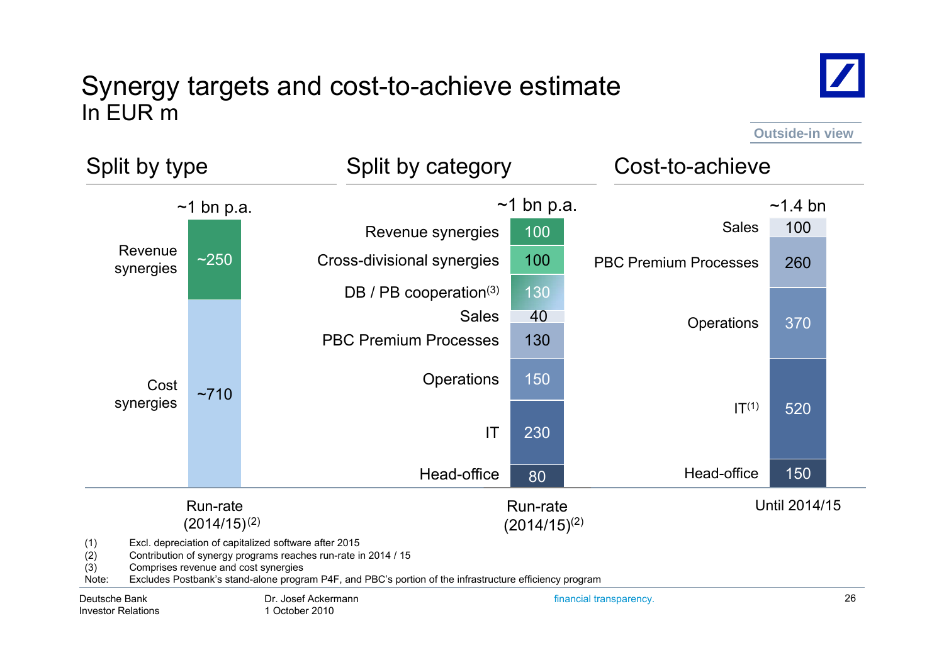#### Synergy targets and cost-to-achieve estimate In EUR m



**Outside-in view**

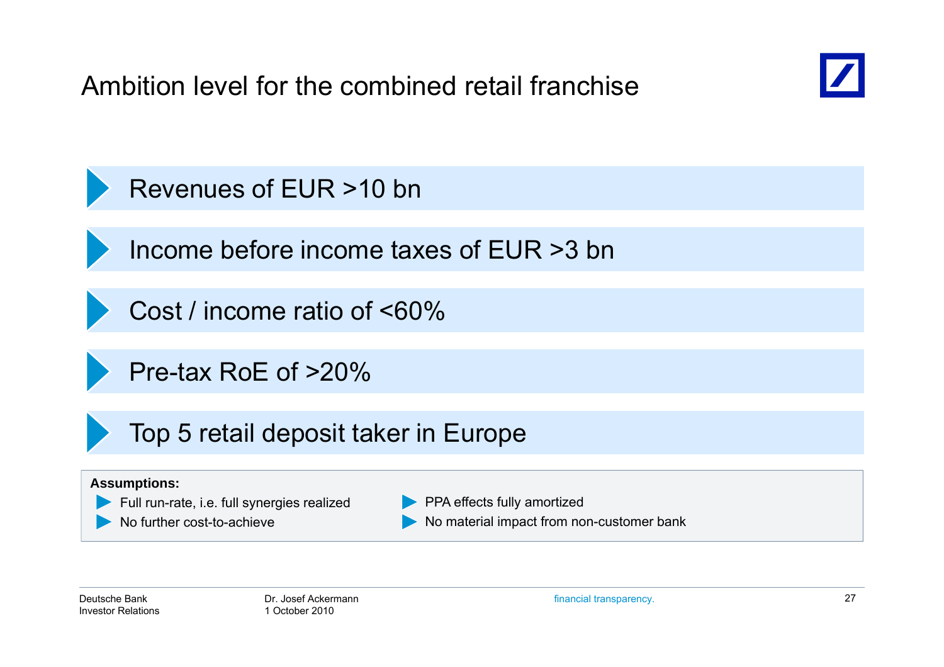Ambition level for the combined retail franchise



Revenues of EUR >10 bn

Income before income taxes of EUR >3 bn

Cost / income ratio of <60%

Pre-tax RoE of >20%

Top 5 retail deposit taker in Europe

#### **Assumptions:**



No further cost-to-achieve

**PPA effects fully amortized** No material impact from non-customer bank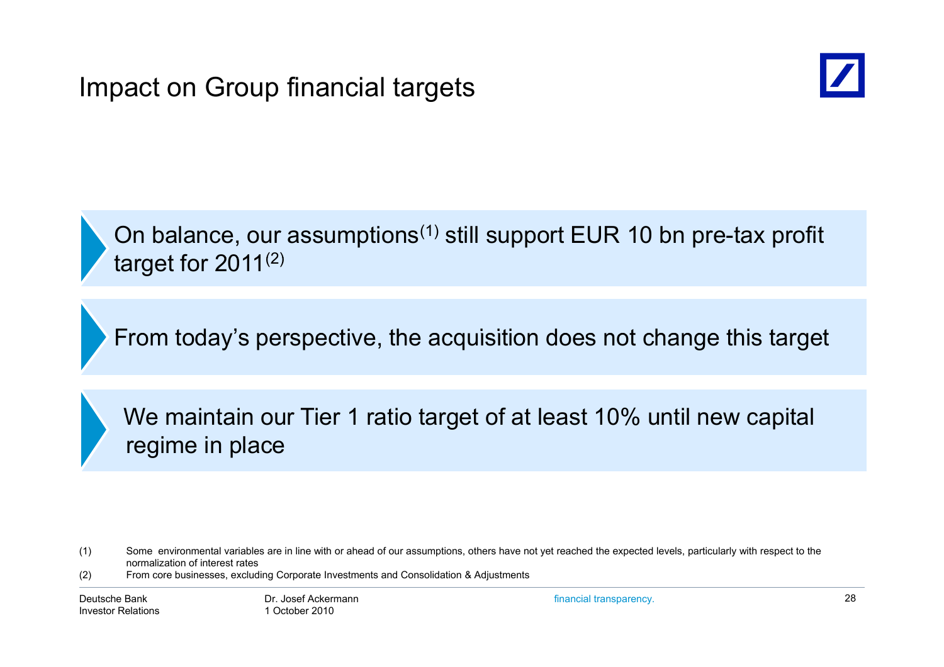

On balance, our assumptions<sup>(1)</sup> still support EUR 10 bn pre-tax profit target for 2011 $^{(2)}$ 

From today's perspective, the acquisition does not change this target

We maintain our Tier 1 ratio target of at least 10% until new capital regime in place

(2) From core businesses, excluding Corporate Investments and Consolidation & Adjustments

<sup>(1)</sup> Some environmental variables are in line with or ahead of our assumptions, others have not yet reached the expected levels, particularly with respect to the normalization of interest rates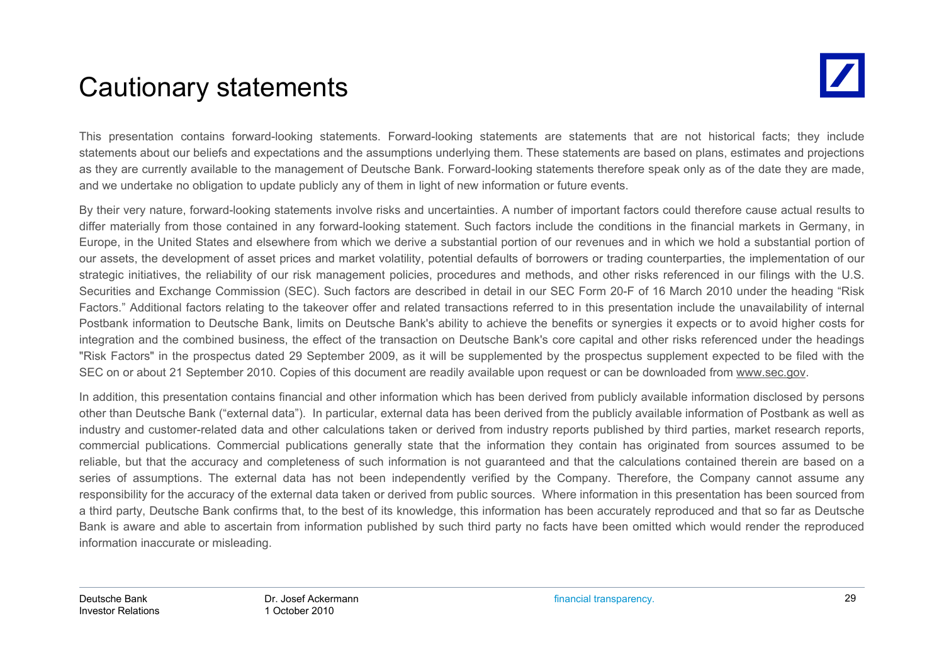### Cautionary statements

This presentation contains forward-looking statements. Forward-looking statements are statements that are not historical facts; they include statements about our beliefs and expectations and the assumptions underlying them. These statements are based on plans, estimates and projections as they are currently available to the management of Deutsche Bank. Forward-looking statements therefore speak only as of the date they are made, and we undertake no obligation to update publicly any of them in light of new information or future events.

By their very nature, forward-looking statements involve risks and uncertainties. A number of important factors could therefore cause actual results to differ materially from those contained in any forward-looking statement. Such factors include the conditions in the financial markets in Germany, in Europe, in the United States and elsewhere from which we derive <sup>a</sup> substantial portion of our revenues and in which we hold <sup>a</sup> substantial portion of our assets, the development of asset prices and market volatility, potential defaults of borrowers or trading counterparties, the implementation of our strategic initiatives, the reliability of our risk management policies, procedures and methods, and other risks referenced in our filings with the U.S. Securities and Exchange Commission (SEC). Such factors are described in detail in our SEC Form 20-F of 16 March 2010 under the heading "Risk Factors." Additional factors relating to the takeover offer and related transactions referred to in this presentation include the unavailability of internal Postbank information to Deutsche Bank, limits on Deutsche Bank's ability to achieve the benefits or synergies it expects or to avoid higher costs for integration and the combined business, the effect of the transaction on Deutsche Bank's core capital and other risks referenced under the headings "Risk Factors" in the prospectus dated 29 September 2009, as it will be supplemented by the prospectus supplement expected to be filed with the SEC on or about 21 September 2010. Copies of this document are readily available upon request or can be downloaded from www.sec.gov.

In addition, this presentation contains financial and other information which has been derived from publicly available information disclosed by persons other than Deutsche Bank ("external data"). In particular, external data has been derived from the publicly available information of Postbank as well as industry and customer-related data and other calculations taken or derived from industry reports published by third parties, market research reports, commercial publications. Commercial publications generally state that the information they contain has originated from sources assumed to be reliable, but that the accuracy and completeness of such information is not guaranteed and that the calculations contained therein are based on <sup>a</sup> series of assumptions. The external data has not been independently verified by the Company. Therefore, the Company cannot assume any responsibility for the accuracy of the external data taken or derived from public sources. Where information in this presentation has been sourced from <sup>a</sup> third party, Deutsche Bank confirms that, to the best of its knowledge, this information has been accurately reproduced and that so far as Deutsche Bank is aware and able to ascertain from information published by such third party no facts have been omitted which would render the reproduced information inaccurate or misleading.